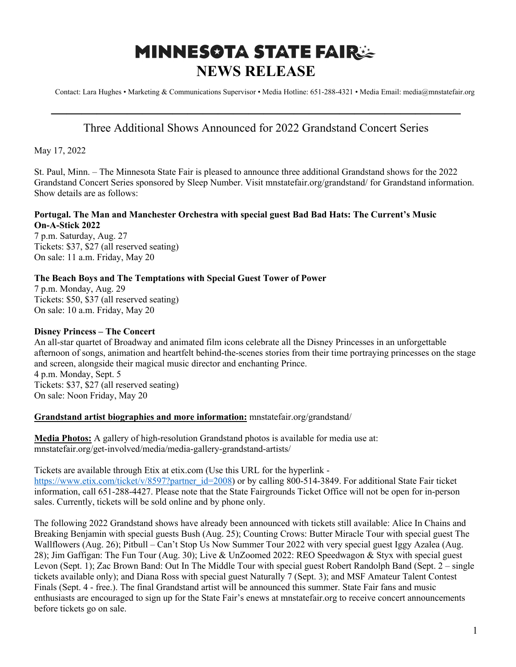# **MINNESOTA STATE FAIR: NEWS RELEASE**

Contact: Lara Hughes • Marketing & Communications Supervisor • Media Hotline: 651-288-4321 • Media Email: media@mnstatefair.org

## **———————————————————————————** Three Additional Shows Announced for 2022 Grandstand Concert Series

May 17, 2022

St. Paul, Minn. – The Minnesota State Fair is pleased to announce three additional Grandstand shows for the 2022 Grandstand Concert Series sponsored by Sleep Number. Visit mnstatefair.org/grandstand/ for Grandstand information. Show details are as follows:

### **Portugal. The Man and Manchester Orchestra with special guest Bad Bad Hats: The Current's Music On-A-Stick 2022**

7 p.m. Saturday, Aug. 27 Tickets: \$37, \$27 (all reserved seating) On sale: 11 a.m. Friday, May 20

### **The Beach Boys and The Temptations with Special Guest Tower of Power**

7 p.m. Monday, Aug. 29 Tickets: \$50, \$37 (all reserved seating) On sale: 10 a.m. Friday, May 20

### **Disney Princess – The Concert**

An all-star quartet of Broadway and animated film icons celebrate all the Disney Princesses in an unforgettable afternoon of songs, animation and heartfelt behind-the-scenes stories from their time portraying princesses on the stage and screen, alongside their magical music director and enchanting Prince. 4 p.m. Monday, Sept. 5 Tickets: \$37, \$27 (all reserved seating) On sale: Noon Friday, May 20

#### **Grandstand artist biographies and more information:** mnstatefair.org/grandstand/

**Media Photos:** A gallery of high-resolution Grandstand photos is available for media use at: mnstatefair.org/get-involved/media/media-gallery-grandstand-artists/

Tickets are available through Etix at etix.com (Use this URL for the hyperlink https://www.etix.com/ticket/v/8597?partner\_id=2008) or by calling 800-514-3849. For additional State Fair ticket information, call 651-288-4427. Please note that the State Fairgrounds Ticket Office will not be open for in-person sales. Currently, tickets will be sold online and by phone only.

The following 2022 Grandstand shows have already been announced with tickets still available: Alice In Chains and Breaking Benjamin with special guests Bush (Aug. 25); Counting Crows: Butter Miracle Tour with special guest The Wallflowers (Aug. 26); Pitbull – Can't Stop Us Now Summer Tour 2022 with very special guest Iggy Azalea (Aug. 28); Jim Gaffigan: The Fun Tour (Aug. 30); Live & UnZoomed 2022: REO Speedwagon & Styx with special guest Levon (Sept. 1); Zac Brown Band: Out In The Middle Tour with special guest Robert Randolph Band (Sept. 2 – single tickets available only); and Diana Ross with special guest Naturally 7 (Sept. 3); and MSF Amateur Talent Contest Finals (Sept. 4 - free.). The final Grandstand artist will be announced this summer. State Fair fans and music enthusiasts are encouraged to sign up for the State Fair's enews at mnstatefair.org to receive concert announcements before tickets go on sale.